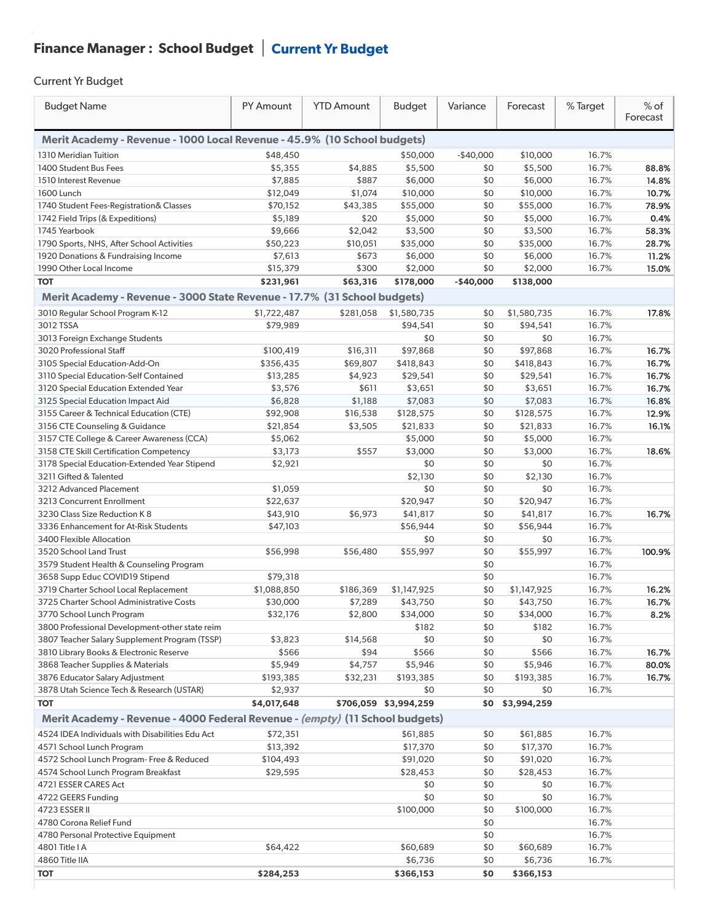## Finance Manager : School Budget  $|$  Current Yr Budget

## Current Yr Budget

 $\ddot{\phantom{1}}$ 

| <b>Budget Name</b>                                                           | PY Amount   | <b>YTD Amount</b> | <b>Budget</b>         | Variance   | Forecast    | % Target | $%$ of<br>Forecast |  |
|------------------------------------------------------------------------------|-------------|-------------------|-----------------------|------------|-------------|----------|--------------------|--|
| Merit Academy - Revenue - 1000 Local Revenue - 45.9% (10 School budgets)     |             |                   |                       |            |             |          |                    |  |
| 1310 Meridian Tuition                                                        | \$48,450    |                   | \$50,000              | $-$40,000$ | \$10,000    | 16.7%    |                    |  |
| 1400 Student Bus Fees                                                        | \$5,355     | \$4,885           | \$5,500               | \$0        | \$5,500     | 16.7%    | 88.8%              |  |
| 1510 Interest Revenue                                                        | \$7,885     | \$887             | \$6,000               | \$0        | \$6,000     | 16.7%    | 14.8%              |  |
| 1600 Lunch                                                                   | \$12,049    | \$1,074           | \$10,000              | \$0        | \$10,000    | 16.7%    | 10.7%              |  |
| 1740 Student Fees-Registration& Classes                                      | \$70,152    | \$43,385          | \$55,000              | \$0        | \$55,000    | 16.7%    | 78.9%              |  |
| 1742 Field Trips (& Expeditions)                                             | \$5,189     | \$20              | \$5,000               | \$0        | \$5,000     | 16.7%    | 0.4%               |  |
| 1745 Yearbook                                                                | \$9,666     | \$2,042           | \$3,500               | \$0        | \$3,500     | 16.7%    | 58.3%              |  |
| 1790 Sports, NHS, After School Activities                                    | \$50,223    | \$10,051          | \$35,000              | \$0        | \$35,000    | 16.7%    | 28.7%              |  |
| 1920 Donations & Fundraising Income                                          | \$7,613     | \$673             | \$6,000               | \$0        | \$6,000     | 16.7%    | 11.2%              |  |
| 1990 Other Local Income                                                      | \$15,379    | \$300             | \$2,000               | \$0        | \$2,000     | 16.7%    | 15.0%              |  |
| <b>TOT</b>                                                                   | \$231,961   | \$63,316          | \$178,000             | $-$40,000$ | \$138,000   |          |                    |  |
| Merit Academy - Revenue - 3000 State Revenue - 17.7% (31 School budgets)     |             |                   |                       |            |             |          |                    |  |
| 3010 Regular School Program K-12                                             | \$1,722,487 | \$281,058         | \$1,580,735           | \$0        | \$1,580,735 | 16.7%    | 17.8%              |  |
| 3012 TSSA                                                                    | \$79,989    |                   | \$94,541              | \$0        | \$94,541    | 16.7%    |                    |  |
| 3013 Foreign Exchange Students                                               |             |                   | \$0                   | \$0        | \$0         | 16.7%    |                    |  |
| 3020 Professional Staff                                                      | \$100,419   | \$16,311          | \$97,868              | \$0        | \$97,868    | 16.7%    | 16.7%              |  |
| 3105 Special Education-Add-On                                                | \$356,435   | \$69,807          | \$418,843             | \$0        | \$418,843   | 16.7%    | 16.7%              |  |
| 3110 Special Education-Self Contained                                        | \$13,285    | \$4,923           | \$29,541              | \$0        | \$29,541    | 16.7%    | 16.7%              |  |
| 3120 Special Education Extended Year                                         | \$3,576     | \$611             | \$3,651               | \$0        | \$3,651     | 16.7%    | 16.7%              |  |
| 3125 Special Education Impact Aid                                            | \$6,828     | \$1,188           | \$7,083               | \$0        | \$7,083     | 16.7%    | 16.8%              |  |
| 3155 Career & Technical Education (CTE)                                      | \$92,908    | \$16,538          | \$128,575             | \$0        | \$128,575   | 16.7%    | 12.9%              |  |
| 3156 CTE Counseling & Guidance                                               | \$21,854    | \$3,505           | \$21,833              | \$0        | \$21,833    | 16.7%    | 16.1%              |  |
| 3157 CTE College & Career Awareness (CCA)                                    | \$5,062     |                   | \$5,000               | \$0        | \$5,000     | 16.7%    |                    |  |
| 3158 CTE Skill Certification Competency                                      | \$3,173     | \$557             | \$3,000               | \$0        | \$3,000     | 16.7%    | 18.6%              |  |
| 3178 Special Education-Extended Year Stipend                                 | \$2,921     |                   | \$0                   | \$0        | \$0         | 16.7%    |                    |  |
| 3211 Gifted & Talented                                                       |             |                   | \$2,130               | \$0        | \$2,130     | 16.7%    |                    |  |
| 3212 Advanced Placement                                                      | \$1,059     |                   | \$0                   | \$0        | \$0         | 16.7%    |                    |  |
| 3213 Concurrent Enrollment                                                   | \$22,637    |                   | \$20,947              | \$0        | \$20,947    | 16.7%    |                    |  |
| 3230 Class Size Reduction K 8                                                | \$43,910    | \$6,973           | \$41,817              | \$0        | \$41,817    | 16.7%    | 16.7%              |  |
| 3336 Enhancement for At-Risk Students                                        | \$47,103    |                   | \$56,944              | \$0        | \$56,944    | 16.7%    |                    |  |
| 3400 Flexible Allocation                                                     |             |                   | \$0                   | \$0        | \$0         | 16.7%    |                    |  |
| 3520 School Land Trust                                                       | \$56,998    | \$56,480          | \$55,997              | \$0        | \$55,997    | 16.7%    | 100.9%             |  |
| 3579 Student Health & Counseling Program                                     |             |                   |                       | \$0        |             | 16.7%    |                    |  |
| 3658 Supp Educ COVID19 Stipend                                               | \$79,318    |                   |                       | \$0        |             | 16.7%    |                    |  |
| 3719 Charter School Local Replacement                                        | \$1,088,850 | \$186,369         | \$1,147,925           | \$0        | \$1,147,925 | 16.7%    | 16.2%              |  |
| 3725 Charter School Administrative Costs                                     | \$30,000    | \$7,289           | \$43,750              | \$0        | \$43,750    | 16.7%    | 16.7%              |  |
| 3770 School Lunch Program                                                    | \$32,176    | \$2,800           | \$34,000              | \$0        | \$34,000    | 16.7%    | 8.2%               |  |
| 3800 Professional Development-other state reim                               |             |                   | \$182                 | \$0        | \$182       | 16.7%    |                    |  |
| 3807 Teacher Salary Supplement Program (TSSP)                                | \$3,823     | \$14,568          | \$0                   | \$0        | \$0         | 16.7%    |                    |  |
| 3810 Library Books & Electronic Reserve                                      | \$566       | \$94              | \$566                 | \$0        | \$566       | 16.7%    | 16.7%              |  |
| 3868 Teacher Supplies & Materials                                            | \$5,949     | \$4,757           | \$5,946               | \$0        | \$5,946     | 16.7%    | 80.0%              |  |
| 3876 Educator Salary Adjustment                                              | \$193,385   | \$32,231          | \$193,385             | \$0        | \$193,385   | 16.7%    | 16.7%              |  |
| 3878 Utah Science Tech & Research (USTAR)                                    | \$2,937     |                   | \$0                   | \$0        | \$0         | 16.7%    |                    |  |
| <b>TOT</b>                                                                   | \$4,017,648 |                   | \$706,059 \$3,994,259 | \$0        | \$3,994,259 |          |                    |  |
| Merit Academy - Revenue - 4000 Federal Revenue - (empty) (11 School budgets) |             |                   |                       |            |             |          |                    |  |
| 4524 IDEA Individuals with Disabilities Edu Act                              | \$72,351    |                   | \$61,885              | \$0        | \$61,885    | 16.7%    |                    |  |
| 4571 School Lunch Program                                                    | \$13,392    |                   | \$17,370              | \$0        | \$17,370    | 16.7%    |                    |  |
| 4572 School Lunch Program- Free & Reduced                                    | \$104,493   |                   | \$91,020              | \$0        | \$91,020    | 16.7%    |                    |  |
| 4574 School Lunch Program Breakfast                                          | \$29,595    |                   | \$28,453              | \$0        | \$28,453    | 16.7%    |                    |  |
| 4721 ESSER CARES Act                                                         |             |                   | \$0                   | \$0        | \$0         | 16.7%    |                    |  |
| 4722 GEERS Funding                                                           |             |                   | \$0                   | \$0        | \$0         | 16.7%    |                    |  |
| 4723 ESSER II                                                                |             |                   | \$100,000             | \$0        | \$100,000   | 16.7%    |                    |  |
| 4780 Corona Relief Fund                                                      |             |                   |                       | \$0        |             | 16.7%    |                    |  |
| 4780 Personal Protective Equipment                                           |             |                   |                       | \$0        |             | 16.7%    |                    |  |
| 4801 Title I A                                                               | \$64,422    |                   | \$60,689              | \$0        | \$60,689    | 16.7%    |                    |  |
| 4860 Title IIA                                                               |             |                   | \$6,736               | \$0        | \$6,736     | 16.7%    |                    |  |
| <b>TOT</b>                                                                   | \$284,253   |                   | \$366,153             | \$0        | \$366,153   |          |                    |  |
|                                                                              |             |                   |                       |            |             |          |                    |  |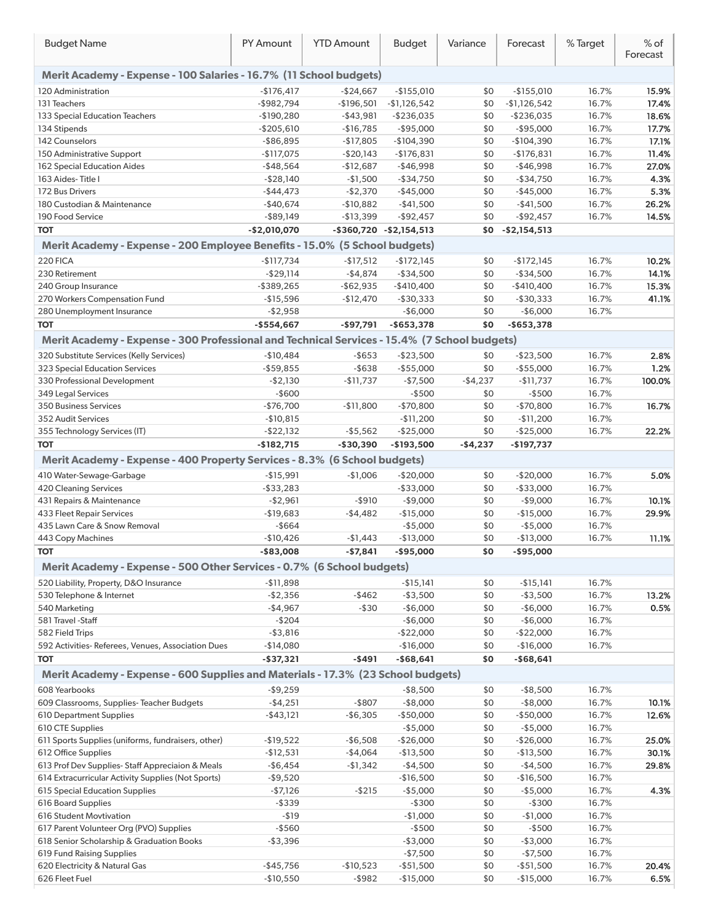| <b>Budget Name</b>                                                                           | PY Amount     | <b>YTD Amount</b> | <b>Budget</b>                 | Variance  | Forecast      | % Target | $%$ of<br>Forecast |
|----------------------------------------------------------------------------------------------|---------------|-------------------|-------------------------------|-----------|---------------|----------|--------------------|
| Merit Academy - Expense - 100 Salaries - 16.7% (11 School budgets)                           |               |                   |                               |           |               |          |                    |
| 120 Administration                                                                           | $-$176,417$   | $-$24,667$        | $-$155,010$                   | \$0       | $-$155,010$   | 16.7%    | 15.9%              |
| 131 Teachers                                                                                 | $-$ \$982,794 | $-$196,501$       | $-$1,126,542$                 | \$0       | $-$1,126,542$ | 16.7%    | 17.4%              |
| 133 Special Education Teachers                                                               | $-$190,280$   | $-$ \$43,981      | $-$ \$236,035                 | \$0       | $-$ \$236,035 | 16.7%    | 18.6%              |
| 134 Stipends                                                                                 | $-$205,610$   | $-$16,785$        | $-$ \$95,000                  | \$0       | $-$ \$95,000  | 16.7%    | 17.7%              |
| 142 Counselors                                                                               | $-$ \$86,895  | $-$17,805$        | $-$104,390$                   | \$0       | $-$104,390$   | 16.7%    | 17.1%              |
| 150 Administrative Support                                                                   | $-$117,075$   | $-$20,143$        | $-$176,831$                   | \$0       | $-$176,831$   | 16.7%    | 11.4%              |
| 162 Special Education Aides                                                                  | $-$ \$48,564  | $-$12,687$        | $-$46,998$                    | \$0       | $-$46,998$    | 16.7%    | 27.0%              |
| 163 Aides-Title I                                                                            | $-$ \$28,140  | $-$1,500$         | $-$ \$34,750                  | \$0       | $-$ \$34,750  | 16.7%    | 4.3%               |
| 172 Bus Drivers                                                                              | $-$44,473$    | $-$2,370$         | $-$45,000$                    | \$0       | $-$45,000$    | 16.7%    | 5.3%               |
| 180 Custodian & Maintenance                                                                  | $-$40,674$    | $-$10,882$        | $-$ \$41,500                  | \$0       | $-$ \$41,500  | 16.7%    | 26.2%              |
| 190 Food Service                                                                             | $-$ \$89,149  | $-$13,399$        | $-$ \$92,457                  | \$0       | $-$ \$92,457  | 16.7%    | 14.5%              |
| <b>TOT</b>                                                                                   | $-$2,010,070$ |                   | $-$ \$360,720 $-$ \$2,154,513 | \$0       | $-$2,154,513$ |          |                    |
| Merit Academy - Expense - 200 Employee Benefits - 15.0% (5 School budgets)                   |               |                   |                               |           |               |          |                    |
| 220 FICA                                                                                     | $-$117,734$   | $-$17,512$        | $-$172,145$                   | \$0       | $-$172,145$   | 16.7%    | 10.2%              |
| 230 Retirement                                                                               | $-$ \$29,114  | $-$4,874$         | $-$ \$34,500                  | \$0       | $-$ \$34,500  | 16.7%    | 14.1%              |
| 240 Group Insurance                                                                          | $-$ \$389,265 | $-$ \$62,935      | $-$410,400$                   | \$0       | $-$410,400$   | 16.7%    | 15.3%              |
| 270 Workers Compensation Fund                                                                | $-$15,596$    | $-$12,470$        | $-$ \$30,333                  | \$0       | $-$30,333$    | 16.7%    | 41.1%              |
| 280 Unemployment Insurance                                                                   | $-$2,958$     |                   | $-$6,000$                     | \$0       | $-$6,000$     | 16.7%    |                    |
| <b>TOT</b>                                                                                   | $-$554,667$   | $-$ \$97,791      | $-$ \$653,378                 | \$0       | $- $653,378$  |          |                    |
|                                                                                              |               |                   |                               |           |               |          |                    |
| Merit Academy - Expense - 300 Professional and Technical Services - 15.4% (7 School budgets) |               |                   |                               |           |               |          |                    |
| 320 Substitute Services (Kelly Services)                                                     | $-$10,484$    | $-$ \$653         | $-$23,500$                    | \$0       | $-$ \$23,500  | 16.7%    | 2.8%               |
| 323 Special Education Services                                                               | $-$ \$59,855  | $-$ \$638         | $-$ \$55,000                  | \$0       | $-$ \$55,000  | 16.7%    | 1.2%               |
| 330 Professional Development                                                                 | $-$2,130$     | $-$11,737$        | $-$7,500$                     | $-$4,237$ | $-$11,737$    | 16.7%    | 100.0%             |
| 349 Legal Services                                                                           | $-$600$       |                   | $-$ \$500                     | \$0       | $-$ \$500     | 16.7%    |                    |
| 350 Business Services                                                                        | $-$76,700$    | $-$11,800$        | $-$70,800$                    | \$0       | $-$70,800$    | 16.7%    | 16.7%              |
| 352 Audit Services                                                                           | $-$10,815$    |                   | $-$11,200$                    | \$0       | $-$11,200$    | 16.7%    |                    |
| 355 Technology Services (IT)                                                                 | $-$ \$22,132  | $-$5,562$         | $-$25,000$                    | \$0       | $-$25,000$    | 16.7%    | 22.2%              |
| <b>TOT</b>                                                                                   | $-$182,715$   | $-$30,390$        | $-$193,500$                   | $-$4,237$ | -\$197,737    |          |                    |
| Merit Academy - Expense - 400 Property Services - 8.3% (6 School budgets)                    |               |                   |                               |           |               |          |                    |
| 410 Water-Sewage-Garbage                                                                     | $-$15,991$    | $-$1,006$         | $-$20,000$                    | \$0       | $-$20,000$    | 16.7%    | 5.0%               |
| <b>420 Cleaning Services</b>                                                                 | $-$ \$33,283  |                   | $-$ \$33,000                  | \$0       | $-$ \$33,000  | 16.7%    |                    |
| 431 Repairs & Maintenance                                                                    | $-$2,961$     | $-$ \$910         | $-$9,000$                     | \$0       | $-$9,000$     | 16.7%    | 10.1%              |
| <b>433 Fleet Repair Services</b>                                                             | $-$19,683$    | $-$4,482$         | $-$15,000$                    | \$0       | $-$15,000$    | 16.7%    | 29.9%              |
| 435 Lawn Care & Snow Removal                                                                 | $-$ \$664     |                   | $-$5,000$                     | \$0       | $-$5,000$     | 16.7%    |                    |
| 443 Copy Machines                                                                            | $-$10,426$    | $-$1,443$         | $-$13,000$                    | \$0       | $-$13,000$    | 16.7%    | 11.1%              |
| <b>TOT</b>                                                                                   | $-$ \$83,008  | $-$7,841$         | $-$ \$95,000                  | \$0       | $-$ \$95,000  |          |                    |
|                                                                                              |               |                   |                               |           |               |          |                    |
| Merit Academy - Expense - 500 Other Services - 0.7% (6 School budgets)                       |               |                   |                               |           |               |          |                    |
| 520 Liability, Property, D&O Insurance                                                       | $-$11,898$    |                   | $-$15,141$                    | \$0       | $-$15,141$    | 16.7%    |                    |
| 530 Telephone & Internet                                                                     | $-$2,356$     | $-$ \$462         | $-$3,500$                     | \$0       | $-$ \$3,500   | 16.7%    | 13.2%              |
| 540 Marketing                                                                                | $-$4,967$     | $-$ \$30          | $-$6,000$                     | \$0       | $-$6,000$     | 16.7%    | 0.5%               |
| 581 Travel - Staff                                                                           | $-$204$       |                   | $-$6,000$                     | \$0       | $-$6,000$     | 16.7%    |                    |
| 582 Field Trips                                                                              | $- $3,816$    |                   | $-$22,000$                    | \$0       | $-$22,000$    | 16.7%    |                    |
| 592 Activities-Referees, Venues, Association Dues                                            | $-$14,080$    |                   | $-$16,000$                    | \$0       | $-$16,000$    | 16.7%    |                    |
| <b>TOT</b>                                                                                   | $-$ \$37,321  | $-$491$           | $-$ \$68,641                  | \$0       | $-$68,641$    |          |                    |
| Merit Academy - Expense - 600 Supplies and Materials - 17.3% (23 School budgets)             |               |                   |                               |           |               |          |                    |
| 608 Yearbooks                                                                                | $-$9,259$     |                   | $-$ \$8,500                   | \$0       | $-$ \$8,500   | 16.7%    |                    |
| 609 Classrooms, Supplies-Teacher Budgets                                                     | $-$4,251$     | $-$ \$807         | $-$ \$8,000                   | \$0       | $-$ \$8,000   | 16.7%    | 10.1%              |
| 610 Department Supplies                                                                      | $-$ \$43,121  | $-$6,305$         | $-$50,000$                    | \$0       | $-$50,000$    | 16.7%    | 12.6%              |
| 610 CTE Supplies                                                                             |               |                   | $-$5,000$                     | \$0       | $-$5,000$     | 16.7%    |                    |
| 611 Sports Supplies (uniforms, fundraisers, other)                                           | $-$19,522$    | $-$6,508$         | $-$26,000$                    | \$0       | $-$26,000$    | 16.7%    | 25.0%              |
| 612 Office Supplies                                                                          | -\$12,531     | $-$4,064$         | $-$13,500$                    | \$0       | $-$13,500$    | 16.7%    | 30.1%              |
| 613 Prof Dev Supplies-Staff Appreciaion & Meals                                              | -\$6,454      | $-$1,342$         | $-$4,500$                     | \$0       | $-$4,500$     | 16.7%    | 29.8%              |
| 614 Extracurricular Activity Supplies (Not Sports)                                           | $-$9,520$     |                   | $-$16,500$                    | \$0       | $-$16,500$    | 16.7%    |                    |
| 615 Special Education Supplies                                                               | $-$7,126$     | $-$ \$215         | $-$5,000$                     | \$0       | $-$5,000$     | 16.7%    | 4.3%               |
| 616 Board Supplies                                                                           | $-$ \$339     |                   | $-$ \$300                     | \$0       | $-$ \$300     | 16.7%    |                    |
| 616 Student Movtivation                                                                      | $-119$        |                   | $-$1,000$                     | \$0       | $-$1,000$     | 16.7%    |                    |
| 617 Parent Volunteer Org (PVO) Supplies                                                      | $-$ \$560     |                   | $-$ \$500                     | \$0       | $-$ \$500     | 16.7%    |                    |
| 618 Senior Scholarship & Graduation Books                                                    | $-$3,396$     |                   | $-$3,000$                     | \$0       | $-$3,000$     | 16.7%    |                    |
| 619 Fund Raising Supplies                                                                    |               |                   | $-$7,500$                     | \$0       | $-$7,500$     | 16.7%    |                    |
| 620 Electricity & Natural Gas                                                                | $-$45,756$    | $-$10,523$        | $-$51,500$                    | \$0       | $-$51,500$    | 16.7%    | 20.4%              |
| 626 Fleet Fuel                                                                               | $-$10,550$    | $-$ \$982         | $-$15,000$                    | \$0       | $-$15,000$    | 16.7%    | 6.5%               |